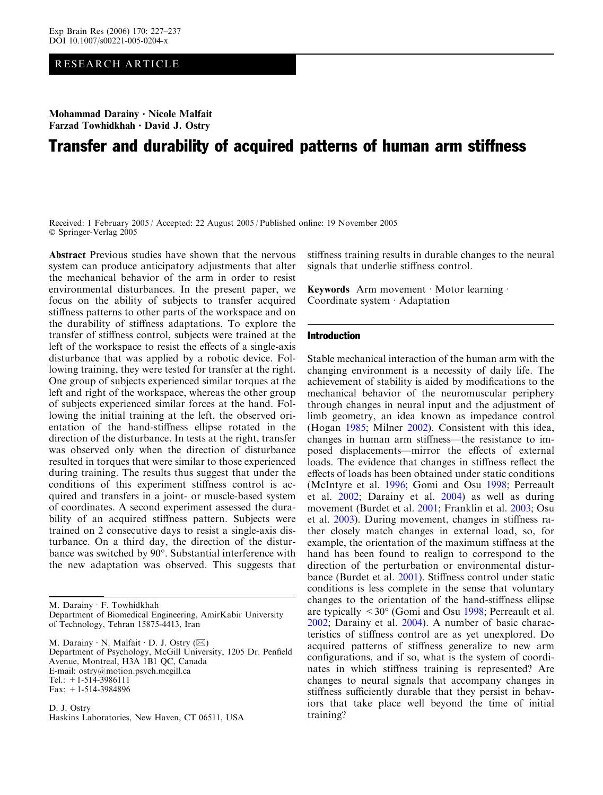# RESEARCH ARTICLE

Mohammad Darainy . Nicole Malfait Farzad Towhidkhah · David J. Ostry

# Transfer and durability of acquired patterns of human arm stiffness

Received: 1 February 2005 / Accepted: 22 August 2005 / Published online: 19 November 2005 Springer-Verlag 2005

Abstract Previous studies have shown that the nervous system can produce anticipatory adjustments that alter the mechanical behavior of the arm in order to resist environmental disturbances. In the present paper, we focus on the ability of subjects to transfer acquired stiffness patterns to other parts of the workspace and on the durability of stiffness adaptations. To explore the transfer of stiffness control, subjects were trained at the left of the workspace to resist the effects of a single-axis disturbance that was applied by a robotic device. Following training, they were tested for transfer at the right. One group of subjects experienced similar torques at the left and right of the workspace, whereas the other group of subjects experienced similar forces at the hand. Following the initial training at the left, the observed orientation of the hand-stiffness ellipse rotated in the direction of the disturbance. In tests at the right, transfer was observed only when the direction of disturbance resulted in torques that were similar to those experienced during training. The results thus suggest that under the conditions of this experiment stiffness control is acquired and transfers in a joint- or muscle-based system of coordinates. A second experiment assessed the durability of an acquired stiffness pattern. Subjects were trained on 2 consecutive days to resist a single-axis disturbance. On a third day, the direction of the disturbance was switched by 90°. Substantial interference with the new adaptation was observed. This suggests that

M. Darainy  $\cdot$  N. Malfait  $\cdot$  D. J. Ostry ( $\boxtimes$ ) Department of Psychology, McGill University, 1205 Dr. Penfield Avenue, Montreal, H3A 1B1 QC, Canada E-mail: ostry@motion.psych.mcgill.ca Tel.: +1-514-3986111 Fax: +1-514-3984896

D. J. Ostry Haskins Laboratories, New Haven, CT 06511, USA stiffness training results in durable changes to the neural signals that underlie stiffness control.

Keywords Arm movement  $\cdot$  Motor learning  $\cdot$ Coordinate system  $\cdot$  Adaptation

#### Introduction

Stable mechanical interaction of the human arm with the changing environment is a necessity of daily life. The achievement of stability is aided by modifications to the mechanical behavior of the neuromuscular periphery through changes in neural input and the adjustment of limb geometry, an idea known as impedance control (Hogan [1985](#page-10-0); Milner [2002](#page-10-0)). Consistent with this idea, changes in human arm stiffness—the resistance to imposed displacements—mirror the effects of external loads. The evidence that changes in stiffness reflect the effects of loads has been obtained under static conditions (McIntyre et al. [1996;](#page-10-0) Gomi and Osu [1998](#page-10-0); Perreault et al. [2002](#page-10-0); Darainy et al. [2004\)](#page-10-0) as well as during movement (Burdet et al. [2001](#page-10-0); Franklin et al. [2003;](#page-10-0) Osu et al. [2003\)](#page-10-0). During movement, changes in stiffness rather closely match changes in external load, so, for example, the orientation of the maximum stiffness at the hand has been found to realign to correspond to the direction of the perturbation or environmental disturbance (Burdet et al. [2001](#page-10-0)). Stiffness control under static conditions is less complete in the sense that voluntary changes to the orientation of the hand-stiffness ellipse are typically  $\leq 30^{\circ}$  (Gomi and Osu [1998;](#page-10-0) Perreault et al. [2002;](#page-10-0) Darainy et al. [2004\)](#page-10-0). A number of basic characteristics of stiffness control are as yet unexplored. Do acquired patterns of stiffness generalize to new arm configurations, and if so, what is the system of coordinates in which stiffness training is represented? Are changes to neural signals that accompany changes in stiffness sufficiently durable that they persist in behaviors that take place well beyond the time of initial training?

M. Darainy · F. Towhidkhah Department of Biomedical Engineering, AmirKabir University of Technology, Tehran 15875-4413, Iran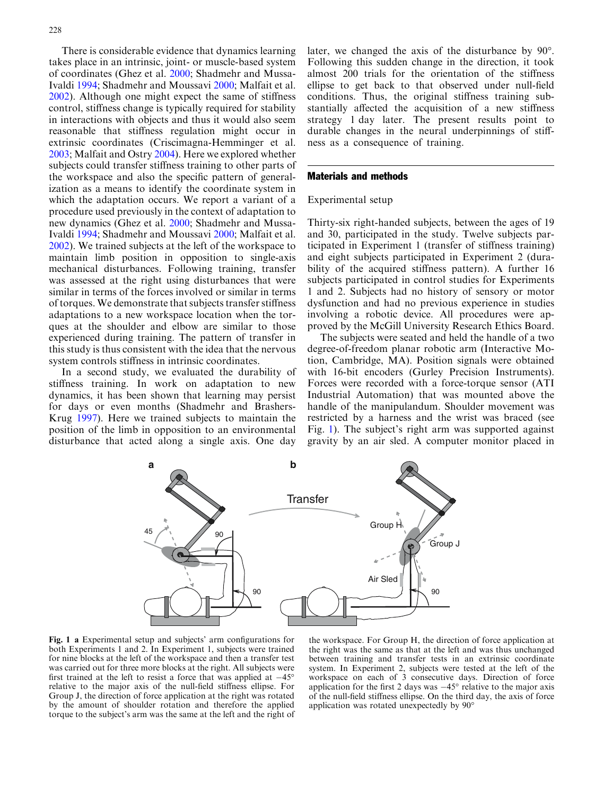<span id="page-1-0"></span>There is considerable evidence that dynamics learning takes place in an intrinsic, joint- or muscle-based system of coordinates (Ghez et al. [2000;](#page-10-0) Shadmehr and Mussa-Ivaldi [1994](#page-10-0); Shadmehr and Moussavi [2000](#page-10-0); Malfait et al. [2002](#page-10-0)). Although one might expect the same of stiffness control, stiffness change is typically required for stability in interactions with objects and thus it would also seem reasonable that stiffness regulation might occur in extrinsic coordinates (Criscimagna-Hemminger et al. [2003](#page-10-0); Malfait and Ostry [2004\)](#page-10-0). Here we explored whether subjects could transfer stiffness training to other parts of the workspace and also the specific pattern of generalization as a means to identify the coordinate system in which the adaptation occurs. We report a variant of a procedure used previously in the context of adaptation to new dynamics (Ghez et al. [2000](#page-10-0); Shadmehr and Mussa-Ivaldi [1994](#page-10-0); Shadmehr and Moussavi [2000](#page-10-0); Malfait et al. [2002](#page-10-0)). We trained subjects at the left of the workspace to maintain limb position in opposition to single-axis mechanical disturbances. Following training, transfer was assessed at the right using disturbances that were similar in terms of the forces involved or similar in terms of torques. We demonstrate that subjects transfer stiffness adaptations to a new workspace location when the torques at the shoulder and elbow are similar to those experienced during training. The pattern of transfer in this study is thus consistent with the idea that the nervous system controls stiffness in intrinsic coordinates.

In a second study, we evaluated the durability of stiffness training. In work on adaptation to new dynamics, it has been shown that learning may persist for days or even months (Shadmehr and Brashers-Krug [1997\)](#page-10-0). Here we trained subjects to maintain the position of the limb in opposition to an environmental disturbance that acted along a single axis. One day

later, we changed the axis of the disturbance by 90°. Following this sudden change in the direction, it took almost 200 trials for the orientation of the stiffness ellipse to get back to that observed under null-field conditions. Thus, the original stiffness training substantially affected the acquisition of a new stiffness strategy 1 day later. The present results point to durable changes in the neural underpinnings of stiffness as a consequence of training.

# Materials and methods

#### Experimental setup

Thirty-six right-handed subjects, between the ages of 19 and 30, participated in the study. Twelve subjects participated in Experiment 1 (transfer of stiffness training) and eight subjects participated in Experiment 2 (durability of the acquired stiffness pattern). A further 16 subjects participated in control studies for Experiments 1 and 2. Subjects had no history of sensory or motor dysfunction and had no previous experience in studies involving a robotic device. All procedures were approved by the McGill University Research Ethics Board.

The subjects were seated and held the handle of a two degree-of-freedom planar robotic arm (Interactive Motion, Cambridge, MA). Position signals were obtained with 16-bit encoders (Gurley Precision Instruments). Forces were recorded with a force-torque sensor (ATI Industrial Automation) that was mounted above the handle of the manipulandum. Shoulder movement was restricted by a harness and the wrist was braced (see Fig. 1). The subject's right arm was supported against gravity by an air sled. A computer monitor placed in



Fig. 1 a Experimental setup and subjects' arm configurations for both Experiments 1 and 2. In Experiment 1, subjects were trained for nine blocks at the left of the workspace and then a transfer test was carried out for three more blocks at the right. All subjects were first trained at the left to resist a force that was applied at  $-45^{\circ}$ relative to the major axis of the null-field stiffness ellipse. For Group J, the direction of force application at the right was rotated by the amount of shoulder rotation and therefore the applied torque to the subject's arm was the same at the left and the right of

the workspace. For Group H, the direction of force application at the right was the same as that at the left and was thus unchanged between training and transfer tests in an extrinsic coordinate system. In Experiment 2, subjects were tested at the left of the workspace on each of 3 consecutive days. Direction of force application for the first 2 days was  $-45^{\circ}$  relative to the major axis of the null-field stiffness ellipse. On the third day, the axis of force application was rotated unexpectedly by 90-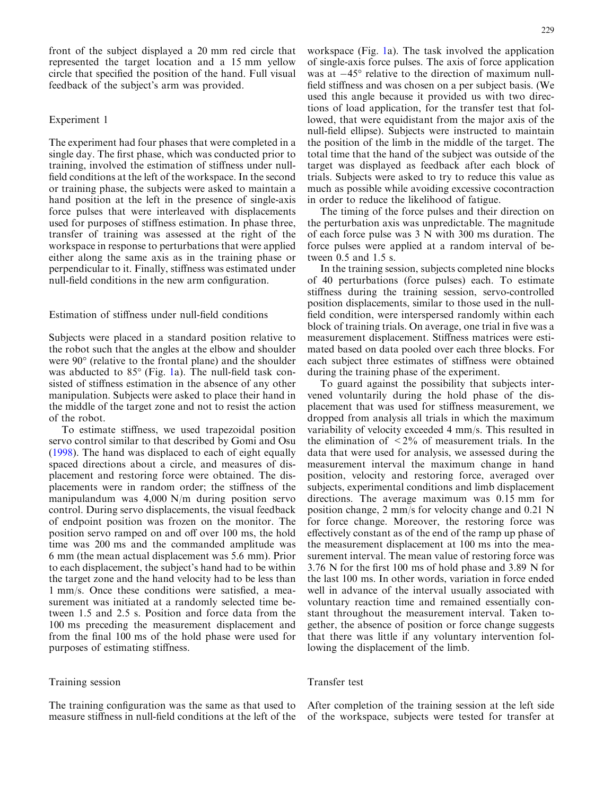[front of the subject displayed a 20 mm red circle that](#page-1-0) [represented the target location and a 15 mm yellow](#page-1-0) [circle that specified the position of the hand. Full visual](#page-1-0) [feedback of the subject's arm was provided.](#page-1-0)

# Experiment 1

The experiment had four phases that were completed in a single day. The first phase, which was conducted prior to training, involved the estimation of stiffness under nullfield conditions at the left of the workspace. In the second or training phase, the subjects were asked to maintain a hand position at the left in the presence of single-axis force pulses that were interleaved with displacements used for purposes of stiffness estimation. In phase three, transfer of training was assessed at the right of the workspace in response to perturbations that were applied either along the same axis as in the training phase or perpendicular to it. Finally, stiffness was estimated under null-field conditions in the new arm configuration.

#### Estimation of stiffness under null-field conditions

Subjects were placed in a standard position relative to the robot such that the angles at the elbow and shoulder were 90 $^{\circ}$  (relative to the frontal plane) and the shoulder was abducted to  $85^{\circ}$  (Fig. [1a\). The null-field task con](#page-1-0)[sisted of stiffness estimation in the absence of any other](#page-1-0) [manipulation. Subjects were asked to place their hand in](#page-1-0) [the middle of the target zone and not to resist the action](#page-1-0) [of the robot.](#page-1-0)

To estimate stiffness, we used trapezoidal position servo control similar to that described by Gomi and Osu ([1998\)](#page-10-0). The hand was displaced to each of eight equally spaced directions about a circle, and measures of displacement and restoring force were obtained. The displacements were in random order; the stiffness of the manipulandum was 4,000 N/m during position servo control. During servo displacements, the visual feedback of endpoint position was frozen on the monitor. The position servo ramped on and off over 100 ms, the hold time was 200 ms and the commanded amplitude was 6 mm (the mean actual displacement was 5.6 mm). Prior to each displacement, the subject's hand had to be within the target zone and the hand velocity had to be less than 1 mm/s. Once these conditions were satisfied, a measurement was initiated at a randomly selected time between 1.5 and 2.5 s. Position and force data from the 100 ms preceding the measurement displacement and from the final 100 ms of the hold phase were used for purposes of estimating stiffness.

## Training session

The training configuration was the same as that used to measure stiffness in null-field conditions at the left of the

workspace (Fig. [1a\). The task involved the application](#page-1-0) [of single-axis force pulses. The axis of force application](#page-1-0) [was at](#page-1-0)  $-45^{\circ}$  [relative to the direction of maximum null](#page-1-0)[field stiffness and was chosen on a per subject basis. \(We](#page-1-0) [used this angle because it provided us with two direc](#page-1-0)[tions of load application, for the transfer test that fol](#page-1-0)[lowed, that were equidistant from the major axis of the](#page-1-0) [null-field ellipse\). Subjects were instructed to maintain](#page-1-0) [the position of the limb in the middle of the target. The](#page-1-0) [total time that the hand of the subject was outside of the](#page-1-0) [target was displayed as feedback after each block of](#page-1-0) [trials. Subjects were asked to try to reduce this value as](#page-1-0) [much as possible while avoiding excessive cocontraction](#page-1-0) [in order to reduce the likelihood of fatigue.](#page-1-0)

The timing of the force pulses and their direction on the perturbation axis was unpredictable. The magnitude of each force pulse was 3 N with 300 ms duration. The force pulses were applied at a random interval of between 0.5 and 1.5 s.

In the training session, subjects completed nine blocks of 40 perturbations (force pulses) each. To estimate stiffness during the training session, servo-controlled position displacements, similar to those used in the nullfield condition, were interspersed randomly within each block of training trials. On average, one trial in five was a measurement displacement. Stiffness matrices were estimated based on data pooled over each three blocks. For each subject three estimates of stiffness were obtained during the training phase of the experiment.

To guard against the possibility that subjects intervened voluntarily during the hold phase of the displacement that was used for stiffness measurement, we dropped from analysis all trials in which the maximum variability of velocity exceeded 4 mm/s. This resulted in the elimination of  $\langle 2\%$  of measurement trials. In the data that were used for analysis, we assessed during the measurement interval the maximum change in hand position, velocity and restoring force, averaged over subjects, experimental conditions and limb displacement directions. The average maximum was 0.15 mm for position change, 2 mm/s for velocity change and 0.21 N for force change. Moreover, the restoring force was effectively constant as of the end of the ramp up phase of the measurement displacement at 100 ms into the measurement interval. The mean value of restoring force was 3.76 N for the first 100 ms of hold phase and 3.89 N for the last 100 ms. In other words, variation in force ended well in advance of the interval usually associated with voluntary reaction time and remained essentially constant throughout the measurement interval. Taken together, the absence of position or force change suggests that there was little if any voluntary intervention following the displacement of the limb.

# Transfer test

After completion of the training session at the left side of the workspace, subjects were tested for transfer at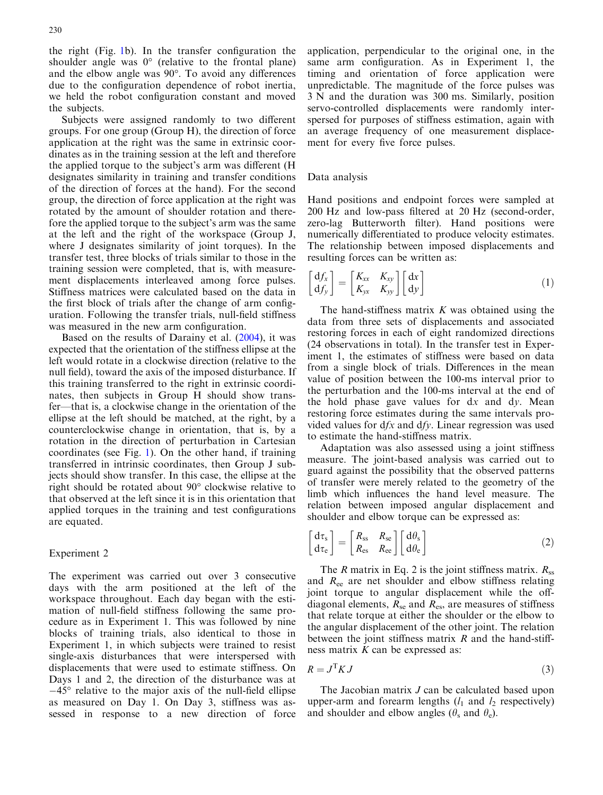the right (Fig. [1b\). In the transfer configuration the](#page-1-0) shoulder angle was  $0^{\circ}$  [\(relative to the frontal plane\)](#page-1-0) [and the elbow angle was 90](#page-1-0)°. To avoid any differences [due to the configuration dependence of robot inertia,](#page-1-0) [we held the robot configuration constant and moved](#page-1-0) [the subjects.](#page-1-0)

Subjects were assigned randomly to two different groups. For one group (Group H), the direction of force application at the right was the same in extrinsic coordinates as in the training session at the left and therefore the applied torque to the subject's arm was different (H designates similarity in training and transfer conditions of the direction of forces at the hand). For the second group, the direction of force application at the right was rotated by the amount of shoulder rotation and therefore the applied torque to the subject's arm was the same at the left and the right of the workspace (Group J, where J designates similarity of joint torques). In the transfer test, three blocks of trials similar to those in the training session were completed, that is, with measurement displacements interleaved among force pulses. Stiffness matrices were calculated based on the data in the first block of trials after the change of arm configuration. Following the transfer trials, null-field stiffness was measured in the new arm configuration.

Based on the results of Darainy et al. ([2004\)](#page-10-0), it was expected that the orientation of the stiffness ellipse at the left would rotate in a clockwise direction (relative to the null field), toward the axis of the imposed disturbance. If this training transferred to the right in extrinsic coordinates, then subjects in Group H should show transfer—that is, a clockwise change in the orientation of the ellipse at the left should be matched, at the right, by a counterclockwise change in orientation, that is, by a rotation in the direction of perturbation in Cartesian coordinates (see Fig. [1\). On the other hand, if training](#page-1-0) [transferred in intrinsic coordinates, then Group J sub](#page-1-0)[jects should show transfer. In this case, the ellipse at the](#page-1-0) [right should be rotated about 90](#page-1-0)° clockwise relative to [that observed at the left since it is in this orientation that](#page-1-0) [applied torques in the training and test configurations](#page-1-0) [are equated.](#page-1-0)

#### Experiment 2

The experiment was carried out over 3 consecutive days with the arm positioned at the left of the workspace throughout. Each day began with the estimation of null-field stiffness following the same procedure as in Experiment 1. This was followed by nine blocks of training trials, also identical to those in Experiment 1, in which subjects were trained to resist single-axis disturbances that were interspersed with displacements that were used to estimate stiffness. On Days 1 and 2, the direction of the disturbance was at  $-45^{\circ}$  relative to the major axis of the null-field ellipse as measured on Day 1. On Day 3, stiffness was assessed in response to a new direction of force

application, perpendicular to the original one, in the same arm configuration. As in Experiment 1, the timing and orientation of force application were unpredictable. The magnitude of the force pulses was 3 N and the duration was 300 ms. Similarly, position servo-controlled displacements were randomly interspersed for purposes of stiffness estimation, again with an average frequency of one measurement displacement for every five force pulses.

## Data analysis

Hand positions and endpoint forces were sampled at 200 Hz and low-pass filtered at 20 Hz (second-order, zero-lag Butterworth filter). Hand positions were numerically differentiated to produce velocity estimates. The relationship between imposed displacements and resulting forces can be written as:

$$
\begin{bmatrix} df_x \\ df_y \end{bmatrix} = \begin{bmatrix} K_{xx} & K_{xy} \\ K_{yx} & K_{yy} \end{bmatrix} \begin{bmatrix} dx \\ dy \end{bmatrix}
$$
 (1)

The hand-stiffness matrix  $K$  was obtained using the data from three sets of displacements and associated restoring forces in each of eight randomized directions (24 observations in total). In the transfer test in Experiment 1, the estimates of stiffness were based on data from a single block of trials. Differences in the mean value of position between the 100-ms interval prior to the perturbation and the 100-ms interval at the end of the hold phase gave values for  $dx$  and  $dy$ . Mean restoring force estimates during the same intervals provided values for  $dfx$  and  $dfy$ . Linear regression was used to estimate the hand-stiffness matrix.

Adaptation was also assessed using a joint stiffness measure. The joint-based analysis was carried out to guard against the possibility that the observed patterns of transfer were merely related to the geometry of the limb which influences the hand level measure. The relation between imposed angular displacement and shoulder and elbow torque can be expressed as:

$$
\begin{bmatrix} d\tau_s \\ d\tau_e \end{bmatrix} = \begin{bmatrix} R_{ss} & R_{se} \\ R_{es} & R_{ee} \end{bmatrix} \begin{bmatrix} d\theta_s \\ d\theta_e \end{bmatrix} \tag{2}
$$

The R matrix in Eq. 2 is the joint stiffness matrix.  $R_{ss}$ and  $R_{ee}$  are net shoulder and elbow stiffness relating joint torque to angular displacement while the offdiagonal elements,  $R_{se}$  and  $R_{es}$ , are measures of stiffness that relate torque at either the shoulder or the elbow to the angular displacement of the other joint. The relation between the joint stiffness matrix  $R$  and the hand-stiffness matrix  $K$  can be expressed as:

$$
R = J^{\mathrm{T}} K J \tag{3}
$$

The Jacobian matrix *J* can be calculated based upon upper-arm and forearm lengths  $(l_1 \text{ and } l_2 \text{ respectively})$ and shoulder and elbow angles ( $\theta_s$  and  $\theta_e$ ).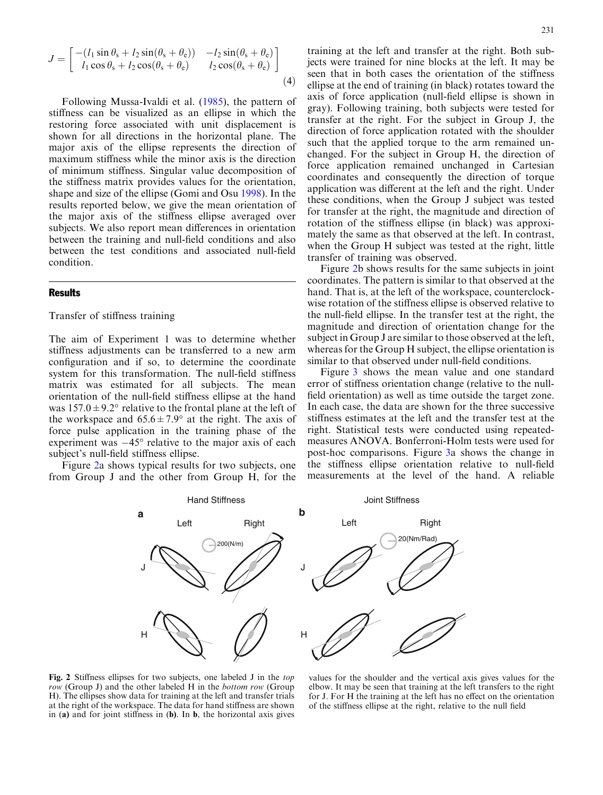$$
J = \begin{bmatrix} -(l_1 \sin \theta_s + l_2 \sin(\theta_s + \theta_e)) & -l_2 \sin(\theta_s + \theta_e) \\ l_1 \cos \theta_s + l_2 \cos(\theta_s + \theta_e) & l_2 \cos(\theta_s + \theta_e) \end{bmatrix}
$$
(4)

Following Mussa-Ivaldi et al. ([1985](#page-10-0)), the pattern of stiffness can be visualized as an ellipse in which the restoring force associated with unit displacement is shown for all directions in the horizontal plane. The major axis of the ellipse represents the direction of maximum stiffness while the minor axis is the direction of minimum stiffness. Singular value decomposition of the stiffness matrix provides values for the orientation, shape and size of the ellipse (Gomi and Osu [1998](#page-10-0)). In the results reported below, we give the mean orientation of the major axis of the stiffness ellipse averaged over subjects. We also report mean differences in orientation between the training and null-field conditions and also between the test conditions and associated null-field condition.

## **Results**

# Transfer of stiffness training

The aim of Experiment 1 was to determine whether stiffness adjustments can be transferred to a new arm configuration and if so, to determine the coordinate system for this transformation. The null-field stiffness matrix was estimated for all subjects. The mean orientation of the null-field stiffness ellipse at the hand was  $157.0 \pm 9.2^{\circ}$  relative to the frontal plane at the left of the workspace and  $65.6 \pm 7.9^{\circ}$  at the right. The axis of force pulse application in the training phase of the experiment was  $-45^{\circ}$  relative to the major axis of each subject's null-field stiffness ellipse.

Figure 2a shows typical results for two subjects, one from Group J and the other from Group H, for the

training at the left and transfer at the right. Both subjects were trained for nine blocks at the left. It may be seen that in both cases the orientation of the stiffness ellipse at the end of training (in black) rotates toward the axis of force application (null-field ellipse is shown in gray). Following training, both subjects were tested for transfer at the right. For the subject in Group J, the direction of force application rotated with the shoulder such that the applied torque to the arm remained unchanged. For the subject in Group H, the direction of force application remained unchanged in Cartesian coordinates and consequently the direction of torque application was different at the left and the right. Under these conditions, when the Group J subject was tested for transfer at the right, the magnitude and direction of rotation of the stiffness ellipse (in black) was approximately the same as that observed at the left. In contrast, when the Group H subject was tested at the right, little transfer of training was observed.

Figure 2b shows results for the same subjects in joint coordinates. The pattern is similar to that observed at the hand. That is, at the left of the workspace, counterclockwise rotation of the stiffness ellipse is observed relative to the null-field ellipse. In the transfer test at the right, the magnitude and direction of orientation change for the subject in Group J are similar to those observed at the left, whereas for the Group H subject, the ellipse orientation is similar to that observed under null-field conditions.

Figure 3 [shows the mean value and one standard](#page-5-0) [error of stiffness orientation change \(relative to the null](#page-5-0)[field orientation\) as well as time outside the target zone.](#page-5-0) [In each case, the data are shown for the three successive](#page-5-0) [stiffness estimates at the left and the transfer test at the](#page-5-0) [right. Statistical tests were conducted using repeated](#page-5-0)[measures ANOVA. Bonferroni-Holm tests were used for](#page-5-0) [post-hoc comparisons. Figure](#page-5-0) 3a shows the change in [the stiffness ellipse orientation relative to null-field](#page-5-0) [measurements at the level of the hand. A reliable](#page-5-0)



Fig. 2 Stiffness ellipses for two subjects, one labeled J in the top row (Group J) and the other labeled H in the *bottom row* (Group H). The ellipses show data for training at the left and transfer trials at the right of the workspace. The data for hand stiffness are shown in (a) and for joint stiffness in (b). In b, the horizontal axis gives

values for the shoulder and the vertical axis gives values for the elbow. It may be seen that training at the left transfers to the right for J. For H the training at the left has no effect on the orientation of the stiffness ellipse at the right, relative to the null field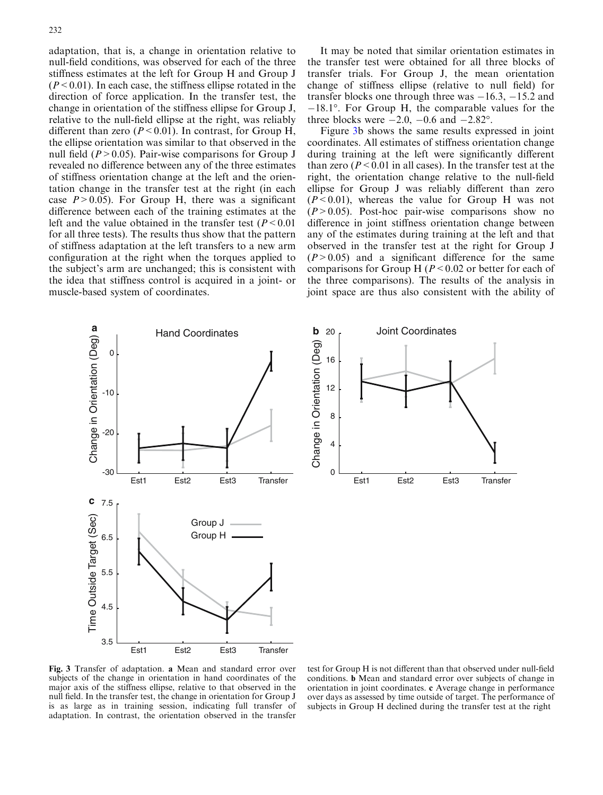<span id="page-5-0"></span>adaptation, that is, a change in orientation relative to null-field conditions, was observed for each of the three stiffness estimates at the left for Group H and Group J  $(P<0.01)$ . In each case, the stiffness ellipse rotated in the direction of force application. In the transfer test, the change in orientation of the stiffness ellipse for Group J, relative to the null-field ellipse at the right, was reliably different than zero ( $P < 0.01$ ). In contrast, for Group H, the ellipse orientation was similar to that observed in the null field  $(P>0.05)$ . Pair-wise comparisons for Group J revealed no difference between any of the three estimates of stiffness orientation change at the left and the orientation change in the transfer test at the right (in each case  $P > 0.05$ ). For Group H, there was a significant difference between each of the training estimates at the left and the value obtained in the transfer test  $(P < 0.01$ for all three tests). The results thus show that the pattern of stiffness adaptation at the left transfers to a new arm configuration at the right when the torques applied to the subject's arm are unchanged; this is consistent with the idea that stiffness control is acquired in a joint- or muscle-based system of coordinates.

It may be noted that similar orientation estimates in the transfer test were obtained for all three blocks of transfer trials. For Group J, the mean orientation change of stiffness ellipse (relative to null field) for transfer blocks one through three was  $-16.3$ ,  $-15.2$  and  $-18.1^\circ$ . For Group H, the comparable values for the three blocks were  $-2.0$ ,  $-0.6$  and  $-2.82^{\circ}$ .

Figure 3b shows the same results expressed in joint coordinates. All estimates of stiffness orientation change during training at the left were significantly different than zero ( $P < 0.01$  in all cases). In the transfer test at the right, the orientation change relative to the null-field ellipse for Group J was reliably different than zero  $(P<0.01)$ , whereas the value for Group H was not  $(P>0.05)$ . Post-hoc pair-wise comparisons show no difference in joint stiffness orientation change between any of the estimates during training at the left and that observed in the transfer test at the right for Group J  $(P>0.05)$  and a significant difference for the same comparisons for Group H ( $P < 0.02$  or better for each of the three comparisons). The results of the analysis in joint space are thus also consistent with the ability of





Fig. 3 Transfer of adaptation. a Mean and standard error over subjects of the change in orientation in hand coordinates of the major axis of the stiffness ellipse, relative to that observed in the null field. In the transfer test, the change in orientation for Group J is as large as in training session, indicating full transfer of adaptation. In contrast, the orientation observed in the transfer

test for Group H is not different than that observed under null-field conditions. b Mean and standard error over subjects of change in orientation in joint coordinates. c Average change in performance over days as assessed by time outside of target. The performance of subjects in Group H declined during the transfer test at the right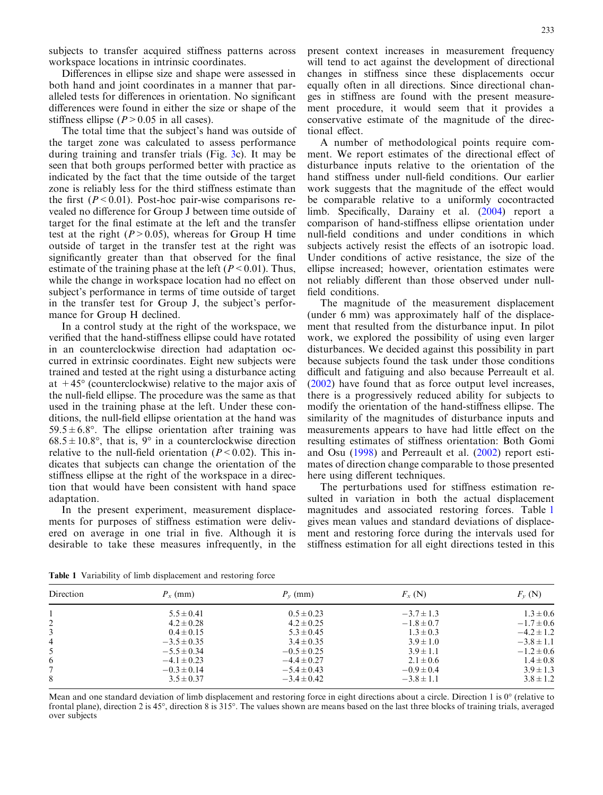<span id="page-6-0"></span>[subjects to transfer acquired stiffness patterns across](#page-5-0) [workspace locations in intrinsic coordinates.](#page-5-0)

Differences in ellipse size and shape were assessed in both hand and joint coordinates in a manner that paralleled tests for differences in orientation. No significant differences were found in either the size or shape of the stiffness ellipse ( $P > 0.05$  in all cases).

The total time that the subject's hand was outside of the target zone was calculated to assess performance during training and transfer trials (Fig. [3c\). It may be](#page-5-0) [seen that both groups performed better with practice as](#page-5-0) [indicated by the fact that the time outside of the target](#page-5-0) [zone is reliably less for the third stiffness estimate than](#page-5-0) the first  $(P < 0.01)$ . Post-hoc pair-wise comparisons re[vealed no difference for Group J between time outside of](#page-5-0) [target for the final estimate at the left and the transfer](#page-5-0) test at the right  $(P>0.05)$ , whereas for Group H time [outside of target in the transfer test at the right was](#page-5-0) [significantly greater than that observed for the final](#page-5-0) [estimate of the training phase at the left \(](#page-5-0) $P < 0.01$ ). Thus, [while the change in workspace location had no effect on](#page-5-0) [subject's performance in terms of time outside of target](#page-5-0) [in the transfer test for Group J, the subject's perfor](#page-5-0)[mance for Group H declined.](#page-5-0)

In a control study at the right of the workspace, we verified that the hand-stiffness ellipse could have rotated in an counterclockwise direction had adaptation occurred in extrinsic coordinates. Eight new subjects were trained and tested at the right using a disturbance acting at  $+45^{\circ}$  (counterclockwise) relative to the major axis of the null-field ellipse. The procedure was the same as that used in the training phase at the left. Under these conditions, the null-field ellipse orientation at the hand was  $59.5 \pm 6.8$ °. The ellipse orientation after training was  $68.5 \pm 10.8^{\circ}$ , that is, 9° in a counterclockwise direction relative to the null-field orientation ( $P < 0.02$ ). This indicates that subjects can change the orientation of the stiffness ellipse at the right of the workspace in a direction that would have been consistent with hand space adaptation.

In the present experiment, measurement displacements for purposes of stiffness estimation were delivered on average in one trial in five. Although it is desirable to take these measures infrequently, in the present context increases in measurement frequency will tend to act against the development of directional changes in stiffness since these displacements occur equally often in all directions. Since directional changes in stiffness are found with the present measurement procedure, it would seem that it provides a conservative estimate of the magnitude of the directional effect.

A number of methodological points require comment. We report estimates of the directional effect of disturbance inputs relative to the orientation of the hand stiffness under null-field conditions. Our earlier work suggests that the magnitude of the effect would be comparable relative to a uniformly cocontracted limb. Specifically, Darainy et al. [\(2004](#page-10-0)) report a comparison of hand-stiffness ellipse orientation under null-field conditions and under conditions in which subjects actively resist the effects of an isotropic load. Under conditions of active resistance, the size of the ellipse increased; however, orientation estimates were not reliably different than those observed under nullfield conditions.

The magnitude of the measurement displacement (under 6 mm) was approximately half of the displacement that resulted from the disturbance input. In pilot work, we explored the possibility of using even larger disturbances. We decided against this possibility in part because subjects found the task under those conditions difficult and fatiguing and also because Perreault et al. ([2002](#page-10-0)) have found that as force output level increases, there is a progressively reduced ability for subjects to modify the orientation of the hand-stiffness ellipse. The similarity of the magnitudes of disturbance inputs and measurements appears to have had little effect on the resulting estimates of stiffness orientation: Both Gomi and Osu ([1998\)](#page-10-0) and Perreault et al. [\(2002\)](#page-10-0) report estimates of direction change comparable to those presented here using different techniques.

The perturbations used for stiffness estimation resulted in variation in both the actual displacement magnitudes and associated restoring forces. Table 1 gives mean values and standard deviations of displacement and restoring force during the intervals used for stiffness estimation for all eight directions tested in this

Table 1 Variability of limb displacement and restoring force

| Mean and one standard deviation of limb displacement and restoring force in eight directions about a circle. Direction 1 is $0^{\circ}$ (relative to            |  |
|-----------------------------------------------------------------------------------------------------------------------------------------------------------------|--|
| frontal plane), direction 2 is $45^\circ$ , direction 8 is $315^\circ$ . The values shown are means based on the last three blocks of training trials, averaged |  |
| over subjects                                                                                                                                                   |  |

| Direction | $P_r$ (mm)      | $P_v$ (mm)      | $F_{\rm x}$ (N) | $F_{v}$ (N)    |
|-----------|-----------------|-----------------|-----------------|----------------|
|           | $5.5 \pm 0.41$  | $0.5 \pm 0.23$  | $-3.7 \pm 1.3$  | $1.3 \pm 0.6$  |
|           | $4.2 \pm 0.28$  | $4.2 \pm 0.25$  | $-1.8 \pm 0.7$  | $-1.7 \pm 0.6$ |
|           | $0.4 \pm 0.15$  | $5.3 \pm 0.45$  | $1.3 \pm 0.3$   | $-4.2 \pm 1.2$ |
| 4         | $-3.5 \pm 0.35$ | $3.4 \pm 0.35$  | $3.9 \pm 1.0$   | $-3.8 \pm 1.1$ |
| 5         | $-5.5 \pm 0.34$ | $-0.5 \pm 0.25$ | $3.9 \pm 1.1$   | $-1.2 \pm 0.6$ |
| 6         | $-4.1 \pm 0.23$ | $-4.4 \pm 0.27$ | $2.1 \pm 0.6$   | $1.4 \pm 0.8$  |
|           | $-0.3 \pm 0.14$ | $-5.4 \pm 0.43$ | $-0.9 \pm 0.4$  | $3.9 \pm 1.3$  |
| 8         | $3.5 \pm 0.37$  | $-3.4 \pm 0.42$ | $-3.8 \pm 1.1$  | $3.8 \pm 1.2$  |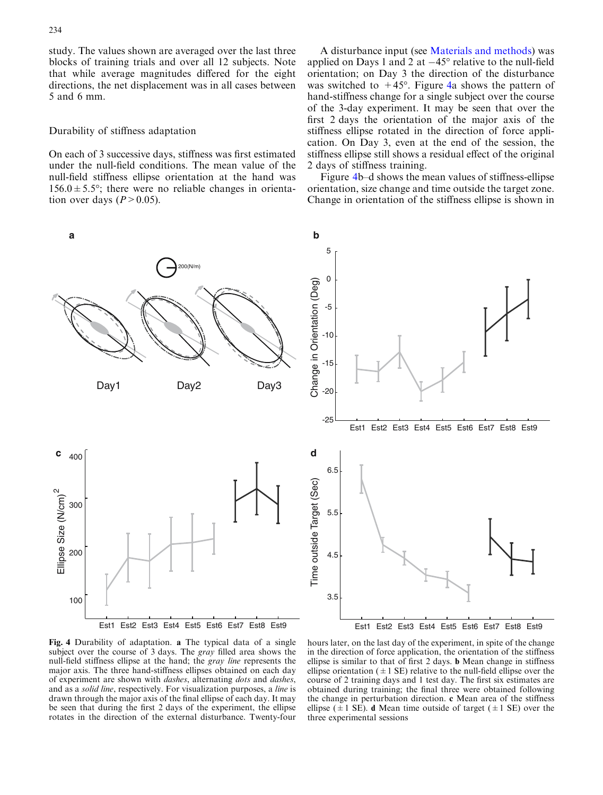<span id="page-7-0"></span>[study. The values shown are averaged over the last three](#page-6-0) [blocks of training trials and over all 12 subjects. Note](#page-6-0) [that while average magnitudes differed for the eight](#page-6-0) [directions, the net displacement was in all cases between](#page-6-0) [5 and 6 mm.](#page-6-0)

#### Durability of stiffness adaptation

On each of 3 successive days, stiffness was first estimated under the null-field conditions. The mean value of the null-field stiffness ellipse orientation at the hand was  $156.0 \pm 5.5^{\circ}$ ; there were no reliable changes in orientation over days  $(P>0.05)$ .

A disturbance input (see Materials and methods) was applied on Days 1 and 2 at  $-45^\circ$  relative to the null-field orientation; on Day 3 the direction of the disturbance was switched to  $+45^{\circ}$ . Figure 4a shows the pattern of hand-stiffness change for a single subject over the course of the 3-day experiment. It may be seen that over the first 2 days the orientation of the major axis of the stiffness ellipse rotated in the direction of force application. On Day 3, even at the end of the session, the stiffness ellipse still shows a residual effect of the original 2 days of stiffness training.

Figure 4b–d shows the mean values of stiffness-ellipse orientation, size change and time outside the target zone. Change in orientation of the stiffness ellipse is shown in



Fig. 4 Durability of adaptation. a The typical data of a single subject over the course of 3 days. The gray filled area shows the null-field stiffness ellipse at the hand; the *gray line* represents the major axis. The three hand-stiffness ellipses obtained on each day of experiment are shown with dashes, alternating dots and dashes, and as a solid line, respectively. For visualization purposes, a line is drawn through the major axis of the final ellipse of each day. It may be seen that during the first 2 days of the experiment, the ellipse rotates in the direction of the external disturbance. Twenty-four

hours later, on the last day of the experiment, in spite of the change in the direction of force application, the orientation of the stiffness ellipse is similar to that of first 2 days. b Mean change in stiffness ellipse orientation ( $\pm 1$  SE) relative to the null-field ellipse over the course of 2 training days and 1 test day. The first six estimates are obtained during training; the final three were obtained following the change in perturbation direction. c Mean area of the stiffness ellipse ( $\pm 1$  SE). d Mean time outside of target ( $\pm 1$  SE) over the three experimental sessions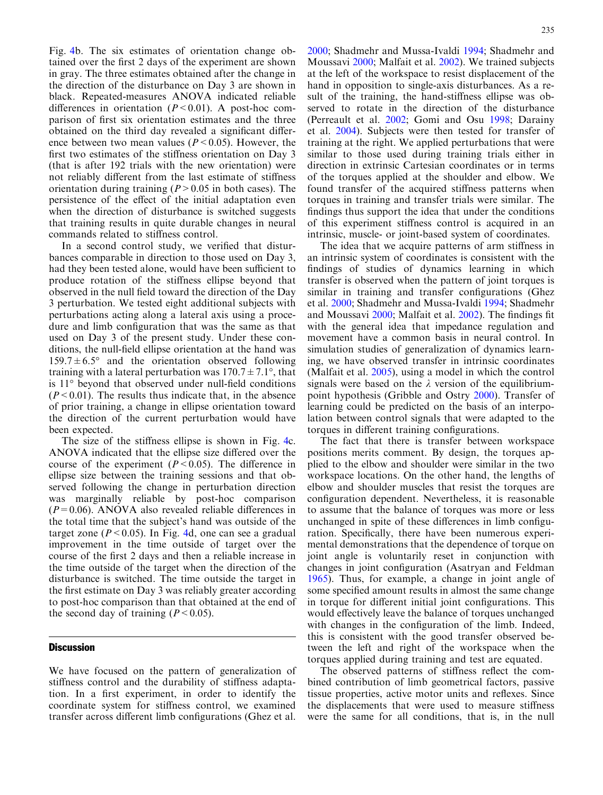Fig. [4b. The six estimates of orientation change ob](#page-7-0)[tained over the first 2 days of the experiment are shown](#page-7-0) [in gray. The three estimates obtained after the change in](#page-7-0) [the direction of the disturbance on Day 3 are shown in](#page-7-0) [black. Repeated-measures ANOVA indicated reliable](#page-7-0) differences in orientation  $(P<0.01)$ . A post-hoc com[parison of first six orientation estimates and the three](#page-7-0) [obtained on the third day revealed a significant differ](#page-7-0)[ence between two mean values \(](#page-7-0) $P < 0.05$ ). However, the [first two estimates of the stiffness orientation on Day 3](#page-7-0) [\(that is after 192 trials with the new orientation\) were](#page-7-0) [not reliably different from the last estimate of stiffness](#page-7-0) [orientation during training \(](#page-7-0) $P > 0.05$  in both cases). The [persistence of the effect of the initial adaptation even](#page-7-0) [when the direction of disturbance is switched suggests](#page-7-0) [that training results in quite durable changes in neural](#page-7-0) [commands related to stiffness control.](#page-7-0)

In a second control study, we verified that disturbances comparable in direction to those used on Day 3, had they been tested alone, would have been sufficient to produce rotation of the stiffness ellipse beyond that observed in the null field toward the direction of the Day 3 perturbation. We tested eight additional subjects with perturbations acting along a lateral axis using a procedure and limb configuration that was the same as that used on Day 3 of the present study. Under these conditions, the null-field ellipse orientation at the hand was  $159.7 \pm 6.5^{\circ}$  and the orientation observed following training with a lateral perturbation was  $170.7 \pm 7.1^{\circ}$ , that is 11° beyond that observed under null-field conditions  $(P<0.01)$ . The results thus indicate that, in the absence of prior training, a change in ellipse orientation toward the direction of the current perturbation would have been expected.

The size of the stiffness ellipse is shown in Fig. [4c.](#page-7-0) [ANOVA indicated that the ellipse size differed over the](#page-7-0) course of the experiment  $(P<0.05)$ . The difference in [ellipse size between the training sessions and that ob](#page-7-0)[served following the change in perturbation direction](#page-7-0) [was marginally reliable by post-hoc comparison](#page-7-0)  $(P=0.06)$ . ANOVA also revealed reliable differences in [the total time that the subject's hand was outside of the](#page-7-0) target zone ( $P < 0.05$ ). In Fig. [4d, one can see a gradual](#page-7-0) [improvement in the time outside of target over the](#page-7-0) [course of the first 2 days and then a reliable increase in](#page-7-0) [the time outside of the target when the direction of the](#page-7-0) [disturbance is switched. The time outside the target in](#page-7-0) [the first estimate on Day 3 was reliably greater according](#page-7-0) [to post-hoc comparison than that obtained at the end of](#page-7-0) the second day of training  $(P < 0.05)$ .

## **Discussion**

We have focused on the pattern of generalization of stiffness control and the durability of stiffness adaptation. In a first experiment, in order to identify the coordinate system for stiffness control, we examined transfer across different limb configurations (Ghez et al.

[2000;](#page-10-0) Shadmehr and Mussa-Ivaldi [1994](#page-10-0); Shadmehr and Moussavi [2000](#page-10-0); Malfait et al. [2002](#page-10-0)). We trained subjects at the left of the workspace to resist displacement of the hand in opposition to single-axis disturbances. As a result of the training, the hand-stiffness ellipse was observed to rotate in the direction of the disturbance (Perreault et al. [2002;](#page-10-0) Gomi and Osu [1998](#page-10-0); Darainy et al. [2004\)](#page-10-0). Subjects were then tested for transfer of training at the right. We applied perturbations that were similar to those used during training trials either in direction in extrinsic Cartesian coordinates or in terms of the torques applied at the shoulder and elbow. We found transfer of the acquired stiffness patterns when torques in training and transfer trials were similar. The findings thus support the idea that under the conditions of this experiment stiffness control is acquired in an intrinsic, muscle- or joint-based system of coordinates.

The idea that we acquire patterns of arm stiffness in an intrinsic system of coordinates is consistent with the findings of studies of dynamics learning in which transfer is observed when the pattern of joint torques is similar in training and transfer configurations (Ghez et al. [2000](#page-10-0); Shadmehr and Mussa-Ivaldi [1994;](#page-10-0) Shadmehr and Moussavi [2000](#page-10-0); Malfait et al. [2002\)](#page-10-0). The findings fit with the general idea that impedance regulation and movement have a common basis in neural control. In simulation studies of generalization of dynamics learning, we have observed transfer in intrinsic coordinates (Malfait et al. [2005\)](#page-10-0), using a model in which the control signals were based on the  $\lambda$  version of the equilibriumpoint hypothesis (Gribble and Ostry [2000\)](#page-10-0). Transfer of learning could be predicted on the basis of an interpolation between control signals that were adapted to the torques in different training configurations.

The fact that there is transfer between workspace positions merits comment. By design, the torques applied to the elbow and shoulder were similar in the two workspace locations. On the other hand, the lengths of elbow and shoulder muscles that resist the torques are configuration dependent. Nevertheless, it is reasonable to assume that the balance of torques was more or less unchanged in spite of these differences in limb configuration. Specifically, there have been numerous experimental demonstrations that the dependence of torque on joint angle is voluntarily reset in conjunction with changes in joint configuration (Asatryan and Feldman [1965\)](#page-10-0). Thus, for example, a change in joint angle of some specified amount results in almost the same change in torque for different initial joint configurations. This would effectively leave the balance of torques unchanged with changes in the configuration of the limb. Indeed, this is consistent with the good transfer observed between the left and right of the workspace when the torques applied during training and test are equated.

The observed patterns of stiffness reflect the combined contribution of limb geometrical factors, passive tissue properties, active motor units and reflexes. Since the displacements that were used to measure stiffness were the same for all conditions, that is, in the null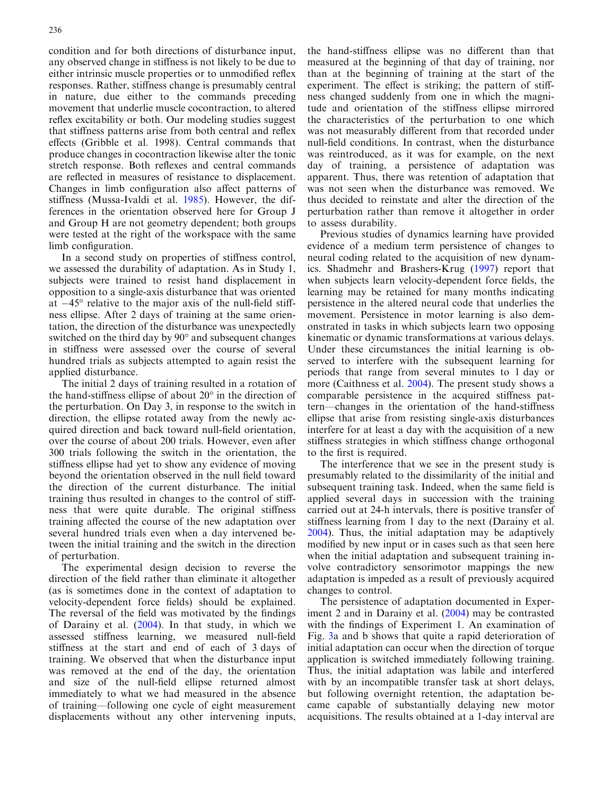condition and for both directions of disturbance input, any observed change in stiffness is not likely to be due to either intrinsic muscle properties or to unmodified reflex responses. Rather, stiffness change is presumably central in nature, due either to the commands preceding movement that underlie muscle cocontraction, to altered reflex excitability or both. Our modeling studies suggest that stiffness patterns arise from both central and reflex effects (Gribble et al. 1998). Central commands that produce changes in cocontraction likewise alter the tonic stretch response. Both reflexes and central commands are reflected in measures of resistance to displacement. Changes in limb configuration also affect patterns of stiffness (Mussa-Ivaldi et al. [1985\)](#page-10-0). However, the differences in the orientation observed here for Group J and Group H are not geometry dependent; both groups were tested at the right of the workspace with the same limb configuration.

In a second study on properties of stiffness control, we assessed the durability of adaptation. As in Study 1, subjects were trained to resist hand displacement in opposition to a single-axis disturbance that was oriented at  $-45^\circ$  relative to the major axis of the null-field stiffness ellipse. After 2 days of training at the same orientation, the direction of the disturbance was unexpectedly switched on the third day by 90° and subsequent changes in stiffness were assessed over the course of several hundred trials as subjects attempted to again resist the applied disturbance.

The initial 2 days of training resulted in a rotation of the hand-stiffness ellipse of about  $20^{\circ}$  in the direction of the perturbation. On Day 3, in response to the switch in direction, the ellipse rotated away from the newly acquired direction and back toward null-field orientation, over the course of about 200 trials. However, even after 300 trials following the switch in the orientation, the stiffness ellipse had yet to show any evidence of moving beyond the orientation observed in the null field toward the direction of the current disturbance. The initial training thus resulted in changes to the control of stiffness that were quite durable. The original stiffness training affected the course of the new adaptation over several hundred trials even when a day intervened between the initial training and the switch in the direction of perturbation.

The experimental design decision to reverse the direction of the field rather than eliminate it altogether (as is sometimes done in the context of adaptation to velocity-dependent force fields) should be explained. The reversal of the field was motivated by the findings of Darainy et al. [\(2004\)](#page-10-0). In that study, in which we assessed stiffness learning, we measured null-field stiffness at the start and end of each of 3 days of training. We observed that when the disturbance input was removed at the end of the day, the orientation and size of the null-field ellipse returned almost immediately to what we had measured in the absence of training—following one cycle of eight measurement displacements without any other intervening inputs,

the hand-stiffness ellipse was no different than that measured at the beginning of that day of training, nor than at the beginning of training at the start of the experiment. The effect is striking; the pattern of stiffness changed suddenly from one in which the magnitude and orientation of the stiffness ellipse mirrored the characteristics of the perturbation to one which was not measurably different from that recorded under null-field conditions. In contrast, when the disturbance was reintroduced, as it was for example, on the next day of training, a persistence of adaptation was apparent. Thus, there was retention of adaptation that was not seen when the disturbance was removed. We thus decided to reinstate and alter the direction of the perturbation rather than remove it altogether in order to assess durability.

Previous studies of dynamics learning have provided evidence of a medium term persistence of changes to neural coding related to the acquisition of new dynamics. Shadmehr and Brashers-Krug ([1997](#page-10-0)) report that when subjects learn velocity-dependent force fields, the learning may be retained for many months indicating persistence in the altered neural code that underlies the movement. Persistence in motor learning is also demonstrated in tasks in which subjects learn two opposing kinematic or dynamic transformations at various delays. Under these circumstances the initial learning is observed to interfere with the subsequent learning for periods that range from several minutes to 1 day or more (Caithness et al. [2004](#page-10-0)). The present study shows a comparable persistence in the acquired stiffness pattern—changes in the orientation of the hand-stiffness ellipse that arise from resisting single-axis disturbances interfere for at least a day with the acquisition of a new stiffness strategies in which stiffness change orthogonal to the first is required.

The interference that we see in the present study is presumably related to the dissimilarity of the initial and subsequent training task. Indeed, when the same field is applied several days in succession with the training carried out at 24-h intervals, there is positive transfer of stiffness learning from 1 day to the next (Darainy et al. [2004\)](#page-10-0). Thus, the initial adaptation may be adaptively modified by new input or in cases such as that seen here when the initial adaptation and subsequent training involve contradictory sensorimotor mappings the new adaptation is impeded as a result of previously acquired changes to control.

The persistence of adaptation documented in Experiment 2 and in Darainy et al. [\(2004](#page-10-0)) may be contrasted with the findings of Experiment 1. An examination of Fig. [3a and b shows that quite a rapid deterioration of](#page-5-0) [initial adaptation can occur when the direction of torque](#page-5-0) [application is switched immediately following training.](#page-5-0) [Thus, the initial adaptation was labile and interfered](#page-5-0) [with by an incompatible transfer task at short delays,](#page-5-0) [but following overnight retention, the adaptation be](#page-5-0)[came capable of substantially delaying new motor](#page-5-0) [acquisitions. The results obtained at a 1-day interval are](#page-5-0)